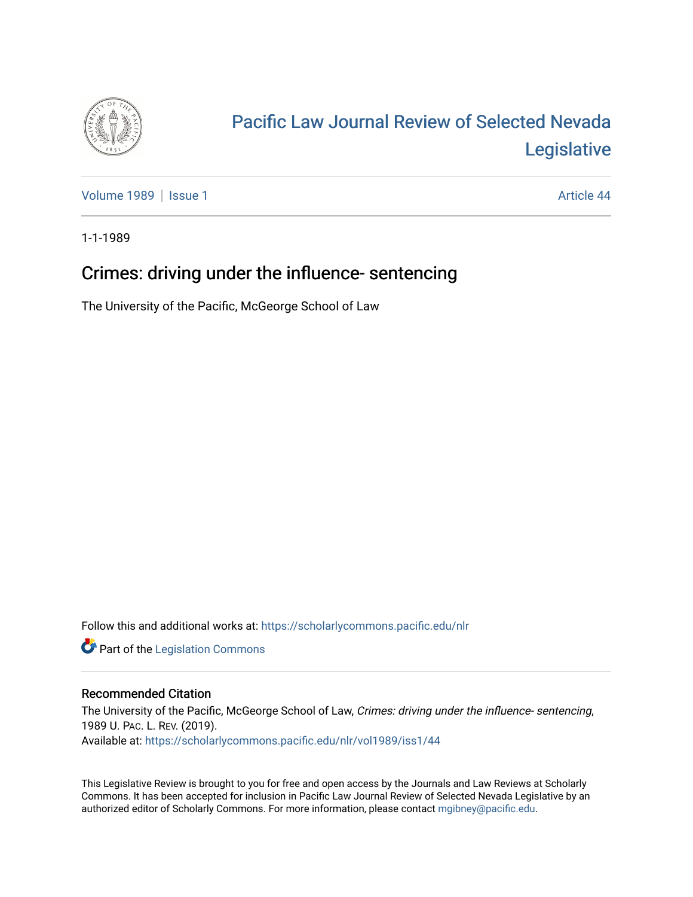

## [Pacific Law Journal Review of Selected Nevada](https://scholarlycommons.pacific.edu/nlr)  [Legislative](https://scholarlycommons.pacific.edu/nlr)

[Volume 1989](https://scholarlycommons.pacific.edu/nlr/vol1989) | [Issue 1](https://scholarlycommons.pacific.edu/nlr/vol1989/iss1) Article 44

1-1-1989

## Crimes: driving under the influence- sentencing

The University of the Pacific, McGeorge School of Law

Follow this and additional works at: [https://scholarlycommons.pacific.edu/nlr](https://scholarlycommons.pacific.edu/nlr?utm_source=scholarlycommons.pacific.edu%2Fnlr%2Fvol1989%2Fiss1%2F44&utm_medium=PDF&utm_campaign=PDFCoverPages) 

**Part of the [Legislation Commons](http://network.bepress.com/hgg/discipline/859?utm_source=scholarlycommons.pacific.edu%2Fnlr%2Fvol1989%2Fiss1%2F44&utm_medium=PDF&utm_campaign=PDFCoverPages)** 

## Recommended Citation

The University of the Pacific, McGeorge School of Law, Crimes: driving under the influence- sentencing, 1989 U. PAC. L. REV. (2019). Available at: [https://scholarlycommons.pacific.edu/nlr/vol1989/iss1/44](https://scholarlycommons.pacific.edu/nlr/vol1989/iss1/44?utm_source=scholarlycommons.pacific.edu%2Fnlr%2Fvol1989%2Fiss1%2F44&utm_medium=PDF&utm_campaign=PDFCoverPages)

This Legislative Review is brought to you for free and open access by the Journals and Law Reviews at Scholarly Commons. It has been accepted for inclusion in Pacific Law Journal Review of Selected Nevada Legislative by an authorized editor of Scholarly Commons. For more information, please contact [mgibney@pacific.edu](mailto:mgibney@pacific.edu).